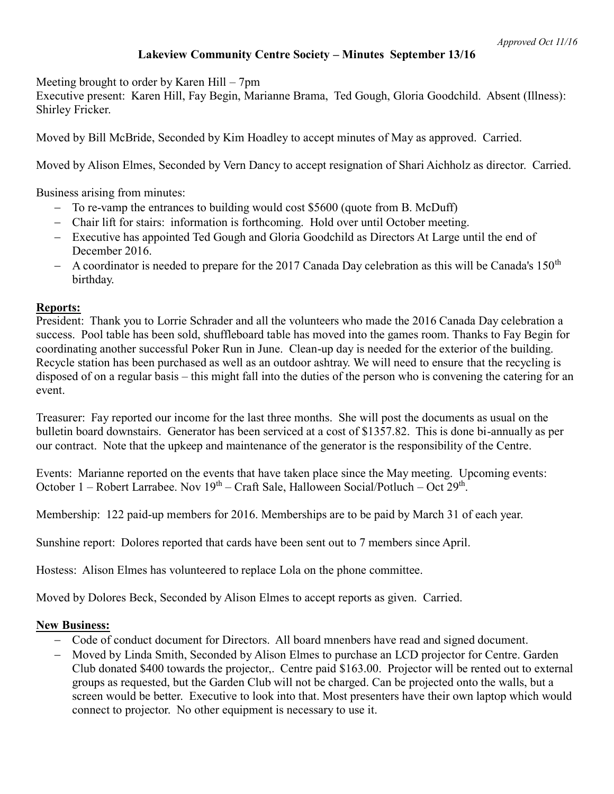## **Lakeview Community Centre Society – Minutes September 13/16**

Meeting brought to order by Karen Hill – 7pm

Executive present: Karen Hill, Fay Begin, Marianne Brama, Ted Gough, Gloria Goodchild. Absent (Illness): Shirley Fricker.

Moved by Bill McBride, Seconded by Kim Hoadley to accept minutes of May as approved. Carried.

Moved by Alison Elmes, Seconded by Vern Dancy to accept resignation of Shari Aichholz as director. Carried.

Business arising from minutes:

- To re-vamp the entrances to building would cost \$5600 (quote from B. McDuff)
- Chair lift for stairs: information is forthcoming. Hold over until October meeting.
- Executive has appointed Ted Gough and Gloria Goodchild as Directors At Large until the end of December 2016.
- $-$  A coordinator is needed to prepare for the 2017 Canada Day celebration as this will be Canada's 150<sup>th</sup> birthday.

## **Reports:**

President: Thank you to Lorrie Schrader and all the volunteers who made the 2016 Canada Day celebration a success. Pool table has been sold, shuffleboard table has moved into the games room. Thanks to Fay Begin for coordinating another successful Poker Run in June. Clean-up day is needed for the exterior of the building. Recycle station has been purchased as well as an outdoor ashtray. We will need to ensure that the recycling is disposed of on a regular basis – this might fall into the duties of the person who is convening the catering for an event.

Treasurer: Fay reported our income for the last three months. She will post the documents as usual on the bulletin board downstairs. Generator has been serviced at a cost of \$1357.82. This is done bi-annually as per our contract. Note that the upkeep and maintenance of the generator is the responsibility of the Centre.

Events: Marianne reported on the events that have taken place since the May meeting. Upcoming events: October 1 – Robert Larrabee. Nov 19<sup>th</sup> – Craft Sale, Halloween Social/Potluch – Oct 29<sup>th</sup>.

Membership: 122 paid-up members for 2016. Memberships are to be paid by March 31 of each year.

Sunshine report: Dolores reported that cards have been sent out to 7 members since April.

Hostess: Alison Elmes has volunteered to replace Lola on the phone committee.

Moved by Dolores Beck, Seconded by Alison Elmes to accept reports as given. Carried.

## **New Business:**

- Code of conduct document for Directors. All board mnenbers have read and signed document.
- Moved by Linda Smith, Seconded by Alison Elmes to purchase an LCD projector for Centre. Garden Club donated \$400 towards the projector,. Centre paid \$163.00. Projector will be rented out to external groups as requested, but the Garden Club will not be charged. Can be projected onto the walls, but a screen would be better. Executive to look into that. Most presenters have their own laptop which would connect to projector. No other equipment is necessary to use it.